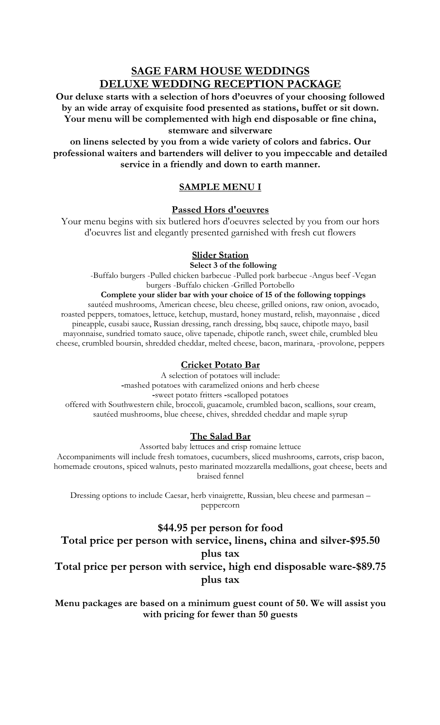**Our deluxe starts with a selection of hors d'oeuvres of your choosing followed by an wide array of exquisite food presented as stations, buffet or sit down. Your menu will be complemented with high end disposable or fine china, stemware and silverware** 

**on linens selected by you from a wide variety of colors and fabrics. Our professional waiters and bartenders will deliver to you impeccable and detailed service in a friendly and down to earth manner.**

### **SAMPLE MENU I**

### **Passed Hors d'oeuvres**

Your menu begins with six butlered hors d'oeuvres selected by you from our hors d'oeuvres list and elegantly presented garnished with fresh cut flowers

### **Slider Station**

**Select 3 of the following**

-Buffalo burgers -Pulled chicken barbecue -Pulled pork barbecue -Angus beef -Vegan burgers -Buffalo chicken -Grilled Portobello

### **Complete your slider bar with your choice of 15 of the following toppings**

sautéed mushrooms, American cheese, bleu cheese, grilled onions, raw onion, avocado, roasted peppers, tomatoes, lettuce, ketchup, mustard, honey mustard, relish, mayonnaise , diced pineapple, cusabi sauce, Russian dressing, ranch dressing, bbq sauce, chipotle mayo, basil mayonnaise, sundried tomato sauce, olive tapenade, chipotle ranch, sweet chile, crumbled bleu cheese, crumbled boursin, shredded cheddar, melted cheese, bacon, marinara, -provolone, peppers

### **Cricket Potato Bar**

A selection of potatoes will include: **-**mashed potatoes with caramelized onions and herb cheese **-**sweet potato fritters **-**scalloped potatoes offered with Southwestern chile, broccoli, guacamole, crumbled bacon, scallions, sour cream, sautéed mushrooms, blue cheese, chives, shredded cheddar and maple syrup

### **The Salad Bar**

Assorted baby lettuces and crisp romaine lettuce

Accompaniments will include fresh tomatoes, cucumbers, sliced mushrooms, carrots, crisp bacon, homemade croutons, spiced walnuts, pesto marinated mozzarella medallions, goat cheese, beets and braised fennel

Dressing options to include Caesar, herb vinaigrette, Russian, bleu cheese and parmesan – peppercorn

# **\$44.95 per person for food**

**Total price per person with service, linens, china and silver-\$95.50 plus tax Total price per person with service, high end disposable ware-\$89.75 plus tax**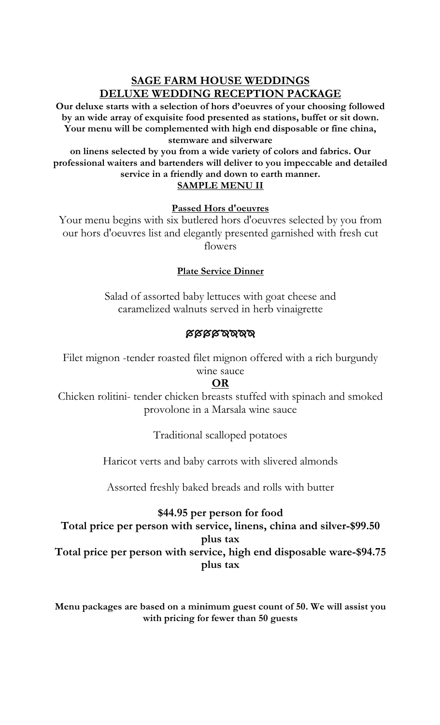**Our deluxe starts with a selection of hors d'oeuvres of your choosing followed by an wide array of exquisite food presented as stations, buffet or sit down. Your menu will be complemented with high end disposable or fine china, stemware and silverware** 

**on linens selected by you from a wide variety of colors and fabrics. Our professional waiters and bartenders will deliver to you impeccable and detailed service in a friendly and down to earth manner. SAMPLE MENU II**

## **Passed Hors d'oeuvres**

Your menu begins with six butlered hors d'oeuvres selected by you from our hors d'oeuvres list and elegantly presented garnished with fresh cut flowers

# **Plate Service Dinner**

Salad of assorted baby lettuces with goat cheese and caramelized walnuts served in herb vinaigrette

# **BARAZAN**

Filet mignon -tender roasted filet mignon offered with a rich burgundy wine sauce

# **OR**

Chicken rolitini- tender chicken breasts stuffed with spinach and smoked provolone in a Marsala wine sauce

Traditional scalloped potatoes

Haricot verts and baby carrots with slivered almonds

Assorted freshly baked breads and rolls with butter

**\$44.95 per person for food Total price per person with service, linens, china and silver-\$99.50 plus tax Total price per person with service, high end disposable ware-\$94.75 plus tax**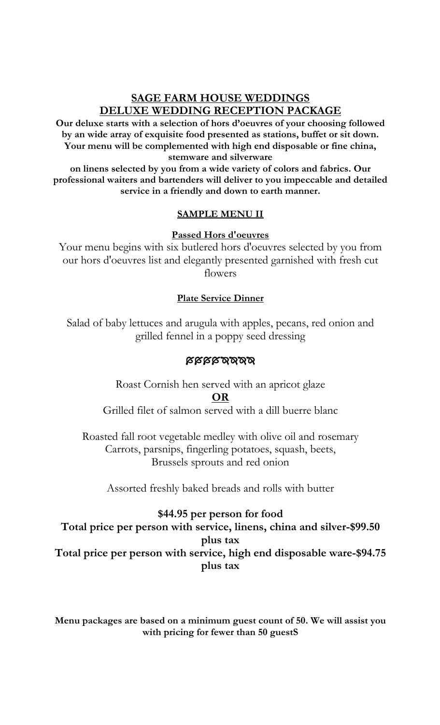**Our deluxe starts with a selection of hors d'oeuvres of your choosing followed by an wide array of exquisite food presented as stations, buffet or sit down. Your menu will be complemented with high end disposable or fine china, stemware and silverware** 

**on linens selected by you from a wide variety of colors and fabrics. Our professional waiters and bartenders will deliver to you impeccable and detailed service in a friendly and down to earth manner.**

## **SAMPLE MENU II**

### **Passed Hors d'oeuvres**

Your menu begins with six butlered hors d'oeuvres selected by you from our hors d'oeuvres list and elegantly presented garnished with fresh cut flowers

### **Plate Service Dinner**

Salad of baby lettuces and arugula with apples, pecans, red onion and grilled fennel in a poppy seed dressing

### **BIAIANA**

Roast Cornish hen served with an apricot glaze **OR**

Grilled filet of salmon served with a dill buerre blanc

Roasted fall root vegetable medley with olive oil and rosemary Carrots, parsnips, fingerling potatoes, squash, beets, Brussels sprouts and red onion

Assorted freshly baked breads and rolls with butter

# **\$44.95 per person for food**

**Total price per person with service, linens, china and silver-\$99.50 plus tax Total price per person with service, high end disposable ware-\$94.75 plus tax**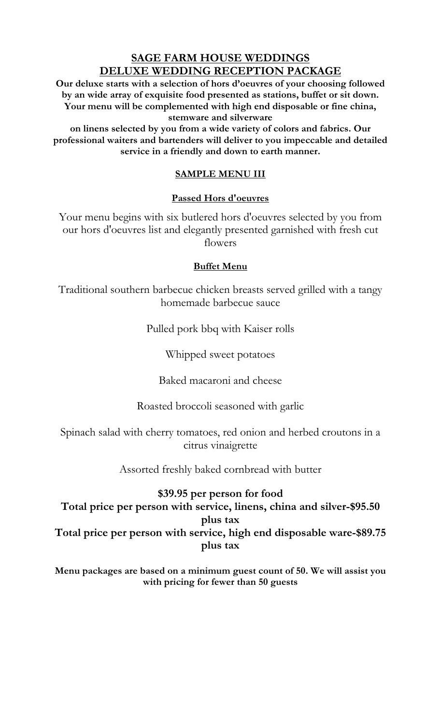**Our deluxe starts with a selection of hors d'oeuvres of your choosing followed by an wide array of exquisite food presented as stations, buffet or sit down. Your menu will be complemented with high end disposable or fine china, stemware and silverware** 

**on linens selected by you from a wide variety of colors and fabrics. Our professional waiters and bartenders will deliver to you impeccable and detailed service in a friendly and down to earth manner.**

## **SAMPLE MENU III**

### **Passed Hors d'oeuvres**

Your menu begins with six butlered hors d'oeuvres selected by you from our hors d'oeuvres list and elegantly presented garnished with fresh cut flowers

### **Buffet Menu**

Traditional southern barbecue chicken breasts served grilled with a tangy homemade barbecue sauce

Pulled pork bbq with Kaiser rolls

Whipped sweet potatoes

Baked macaroni and cheese

Roasted broccoli seasoned with garlic

Spinach salad with cherry tomatoes, red onion and herbed croutons in a citrus vinaigrette

Assorted freshly baked cornbread with butter

# **\$39.95 per person for food**

**Total price per person with service, linens, china and silver-\$95.50 plus tax Total price per person with service, high end disposable ware-\$89.75 plus tax**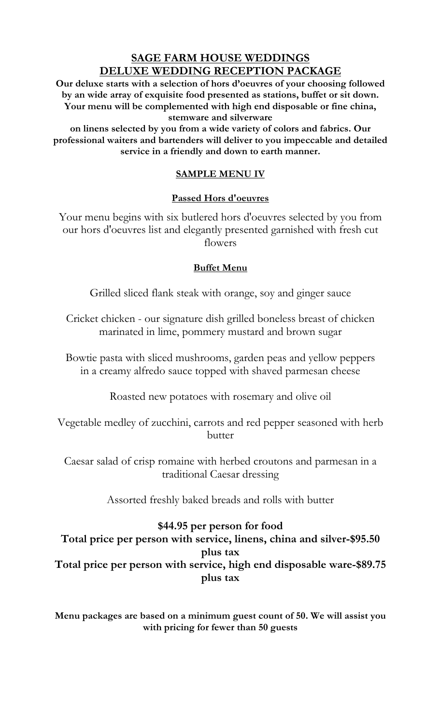**Our deluxe starts with a selection of hors d'oeuvres of your choosing followed by an wide array of exquisite food presented as stations, buffet or sit down. Your menu will be complemented with high end disposable or fine china, stemware and silverware** 

**on linens selected by you from a wide variety of colors and fabrics. Our professional waiters and bartenders will deliver to you impeccable and detailed service in a friendly and down to earth manner.**

## **SAMPLE MENU IV**

### **Passed Hors d'oeuvres**

Your menu begins with six butlered hors d'oeuvres selected by you from our hors d'oeuvres list and elegantly presented garnished with fresh cut flowers

### **Buffet Menu**

Grilled sliced flank steak with orange, soy and ginger sauce

Cricket chicken - our signature dish grilled boneless breast of chicken marinated in lime, pommery mustard and brown sugar

Bowtie pasta with sliced mushrooms, garden peas and yellow peppers in a creamy alfredo sauce topped with shaved parmesan cheese

Roasted new potatoes with rosemary and olive oil

Vegetable medley of zucchini, carrots and red pepper seasoned with herb butter

Caesar salad of crisp romaine with herbed croutons and parmesan in a traditional Caesar dressing

Assorted freshly baked breads and rolls with butter

# **\$44.95 per person for food Total price per person with service, linens, china and silver-\$95.50 plus tax Total price per person with service, high end disposable ware-\$89.75 plus tax**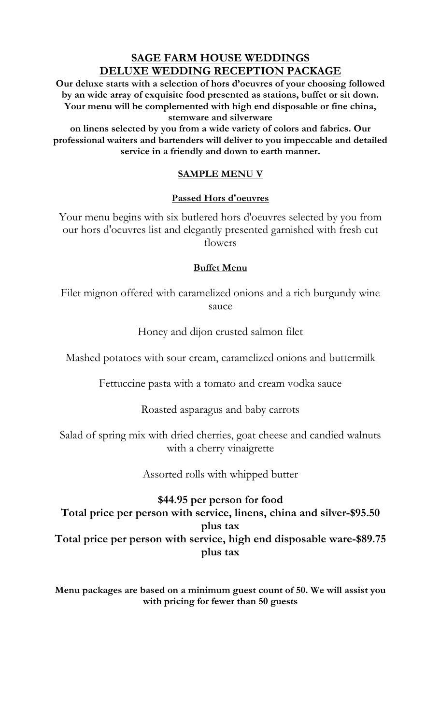**Our deluxe starts with a selection of hors d'oeuvres of your choosing followed by an wide array of exquisite food presented as stations, buffet or sit down. Your menu will be complemented with high end disposable or fine china, stemware and silverware** 

**on linens selected by you from a wide variety of colors and fabrics. Our professional waiters and bartenders will deliver to you impeccable and detailed service in a friendly and down to earth manner.**

### **SAMPLE MENU V**

### **Passed Hors d'oeuvres**

Your menu begins with six butlered hors d'oeuvres selected by you from our hors d'oeuvres list and elegantly presented garnished with fresh cut flowers

### **Buffet Menu**

Filet mignon offered with caramelized onions and a rich burgundy wine sauce

Honey and dijon crusted salmon filet

Mashed potatoes with sour cream, caramelized onions and buttermilk

Fettuccine pasta with a tomato and cream vodka sauce

Roasted asparagus and baby carrots

Salad of spring mix with dried cherries, goat cheese and candied walnuts with a cherry vinaigrette

Assorted rolls with whipped butter

# **\$44.95 per person for food Total price per person with service, linens, china and silver-\$95.50 plus tax Total price per person with service, high end disposable ware-\$89.75 plus tax**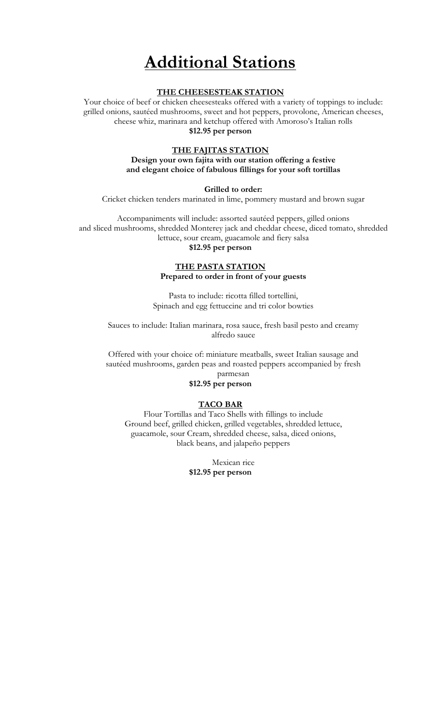# **Additional Stations**

#### **THE CHEESESTEAK STATION**

Your choice of beef or chicken cheesesteaks offered with a variety of toppings to include: grilled onions, sautéed mushrooms, sweet and hot peppers, provolone, American cheeses, cheese whiz, marinara and ketchup offered with Amoroso's Italian rolls **\$12.95 per person**

#### **THE FAJITAS STATION**

### **Design your own fajita with our station offering a festive and elegant choice of fabulous fillings for your soft tortillas**

#### **Grilled to order:**

Cricket chicken tenders marinated in lime, pommery mustard and brown sugar

Accompaniments will include: assorted sautéed peppers, gilled onions and sliced mushrooms, shredded Monterey jack and cheddar cheese, diced tomato, shredded lettuce, sour cream, guacamole and fiery salsa

### **\$12.95 per person**

#### **THE PASTA STATION Prepared to order in front of your guests**

Pasta to include: ricotta filled tortellini, Spinach and egg fettuccine and tri color bowties

Sauces to include: Italian marinara, rosa sauce, fresh basil pesto and creamy alfredo sauce

Offered with your choice of: miniature meatballs, sweet Italian sausage and sautéed mushrooms, garden peas and roasted peppers accompanied by fresh parmesan

### **\$12.95 per person**

#### **TACO BAR**

Flour Tortillas and Taco Shells with fillings to include Ground beef, grilled chicken, grilled vegetables, shredded lettuce, guacamole, sour Cream, shredded cheese, salsa, diced onions, black beans, and jalapeño peppers

> Mexican rice **\$12.95 per person**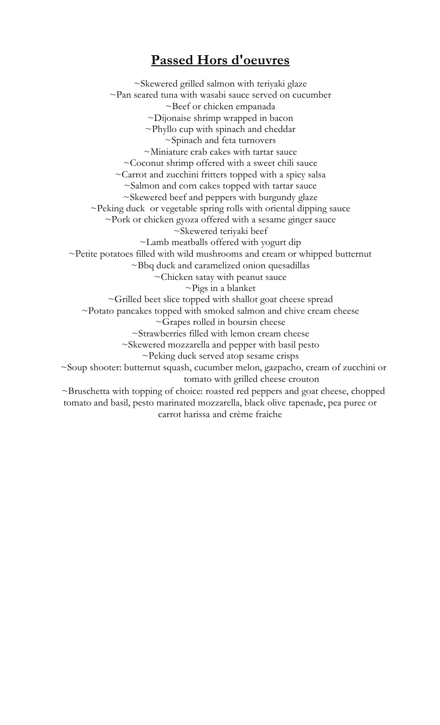# **Passed Hors d'oeuvres**

~Skewered grilled salmon with teriyaki glaze  $\sim$ Pan seared tuna with wasabi sauce served on cucumber ~Beef or chicken empanada ~Dijonaise shrimp wrapped in bacon ~Phyllo cup with spinach and cheddar ~Spinach and feta turnovers ~Miniature crab cakes with tartar sauce ~Coconut shrimp offered with a sweet chili sauce ~Carrot and zucchini fritters topped with a spicy salsa ~Salmon and corn cakes topped with tartar sauce ~Skewered beef and peppers with burgundy glaze ~Peking duck or vegetable spring rolls with oriental dipping sauce ~Pork or chicken gyoza offered with a sesame ginger sauce ~Skewered teriyaki beef ~Lamb meatballs offered with yogurt dip ~Petite potatoes filled with wild mushrooms and cream or whipped butternut ~Bbq duck and caramelized onion quesadillas ~Chicken satay with peanut sauce  $\sim$ Pigs in a blanket ~Grilled beet slice topped with shallot goat cheese spread  $\sim$ Potato pancakes topped with smoked salmon and chive cream cheese ~Grapes rolled in boursin cheese ~Strawberries filled with lemon cream cheese ~Skewered mozzarella and pepper with basil pesto ~Peking duck served atop sesame crisps ~Soup shooter: butternut squash, cucumber melon, gazpacho, cream of zucchini or tomato with grilled cheese crouton ~Bruschetta with topping of choice: roasted red peppers and goat cheese, chopped tomato and basil, pesto marinated mozzarella, black olive tapenade, pea puree or carrot harissa and crème fraiche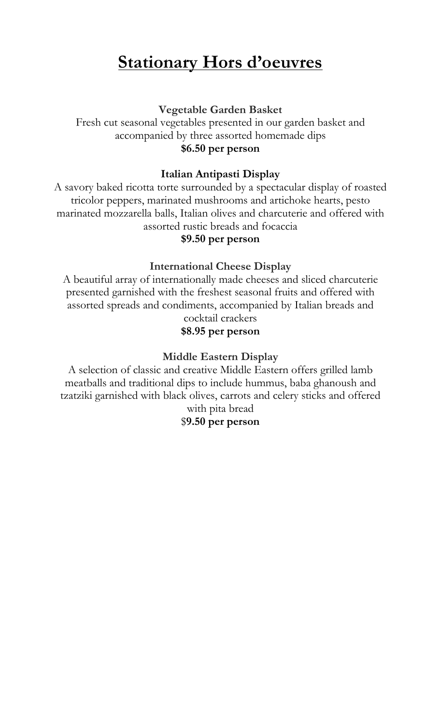# **Stationary Hors d'oeuvres**

**Vegetable Garden Basket**

Fresh cut seasonal vegetables presented in our garden basket and accompanied by three assorted homemade dips **\$6.50 per person**

# **Italian Antipasti Display**

A savory baked ricotta torte surrounded by a spectacular display of roasted tricolor peppers, marinated mushrooms and artichoke hearts, pesto marinated mozzarella balls, Italian olives and charcuterie and offered with assorted rustic breads and focaccia

### **\$9.50 per person**

## **International Cheese Display**

A beautiful array of internationally made cheeses and sliced charcuterie presented garnished with the freshest seasonal fruits and offered with assorted spreads and condiments, accompanied by Italian breads and cocktail crackers

# **\$8.95 per person**

## **Middle Eastern Display**

A selection of classic and creative Middle Eastern offers grilled lamb meatballs and traditional dips to include hummus, baba ghanoush and tzatziki garnished with black olives, carrots and celery sticks and offered with pita bread

# \$**9.50 per person**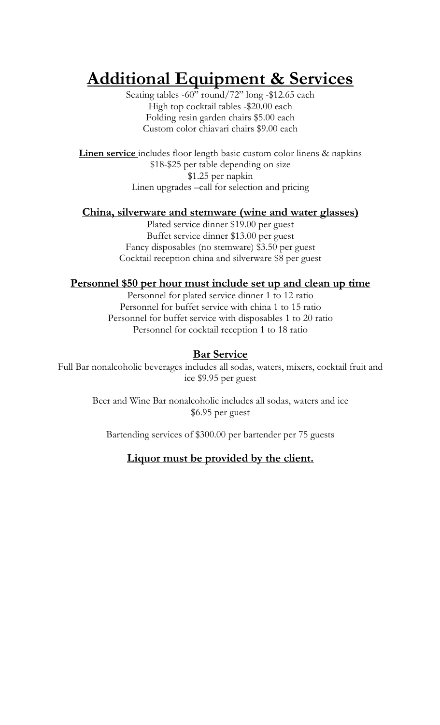# **Additional Equipment & Services**

Seating tables -60" round/72" long -\$12.65 each High top cocktail tables -\$20.00 each Folding resin garden chairs \$5.00 each Custom color chiavari chairs \$9.00 each

**Linen service** includes floor length basic custom color linens & napkins \$18-\$25 per table depending on size \$1.25 per napkin Linen upgrades –call for selection and pricing

### **China, silverware and stemware (wine and water glasses)**

Plated service dinner \$19.00 per guest Buffet service dinner \$13.00 per guest Fancy disposables (no stemware) \$3.50 per guest Cocktail reception china and silverware \$8 per guest

### **Personnel \$50 per hour must include set up and clean up time**

Personnel for plated service dinner 1 to 12 ratio Personnel for buffet service with china 1 to 15 ratio Personnel for buffet service with disposables 1 to 20 ratio Personnel for cocktail reception 1 to 18 ratio

### **Bar Service**

Full Bar nonalcoholic beverages includes all sodas, waters, mixers, cocktail fruit and ice \$9.95 per guest

> Beer and Wine Bar nonalcoholic includes all sodas, waters and ice \$6.95 per guest

Bartending services of \$300.00 per bartender per 75 guests

## **Liquor must be provided by the client.**